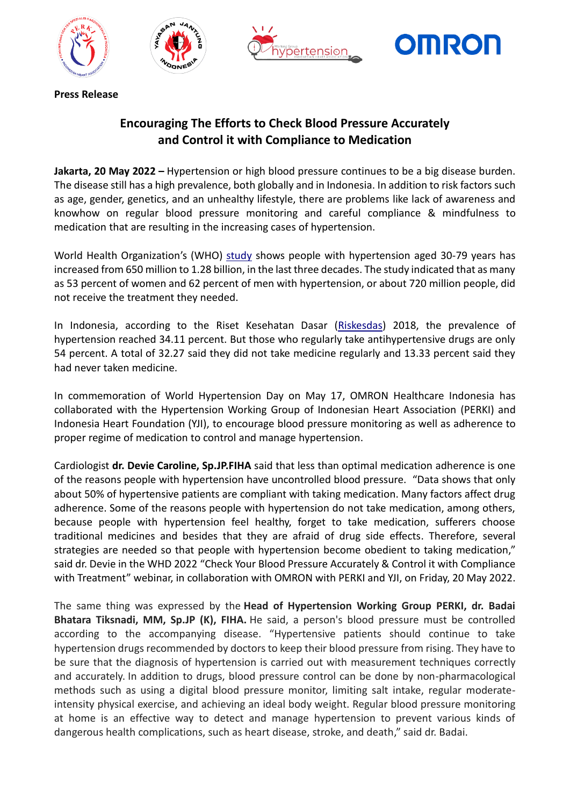







**Press Release** 

## **Encouraging The Efforts to Check Blood Pressure Accurately and Control it with Compliance to Medication**

**Jakarta, 20 May 2022 –** Hypertension or high blood pressure continues to be a big disease burden. The disease still has a high prevalence, both globally and in Indonesia. In addition to risk factors such as age, gender, genetics, and an unhealthy lifestyle, there are problems like lack of awareness and knowhow on regular blood pressure monitoring and careful compliance & mindfulness to medication that are resulting in the increasing cases of hypertension.

World Health Organization's (WHO) [study](https://www.who.int/news/item/25-08-2021-more-than-700-million-people-with-untreated-hypertension) shows people with hypertension aged 30-79 years has increased from 650 million to 1.28 billion, in the last three decades. The study indicated that as many as 53 percent of women and 62 percent of men with hypertension, or about 720 million people, did not receive the treatment they needed.

In Indonesia, according to the Riset Kesehatan Dasar [\(Riskesdas\)](http://labdata.litbang.kemkes.go.id/images/download/laporan/RKD/2018/Laporan_Nasional_RKD2018_FINAL.pdf) 2018, the prevalence of hypertension reached 34.11 percent. But those who regularly take antihypertensive drugs are only 54 percent. A total of 32.27 said they did not take medicine regularly and 13.33 percent said they had never taken medicine.

In commemoration of World Hypertension Day on May 17, OMRON Healthcare Indonesia has collaborated with the Hypertension Working Group of Indonesian Heart Association (PERKI) and Indonesia Heart Foundation (YJI), to encourage blood pressure monitoring as well as adherence to proper regime of medication to control and manage hypertension.

Cardiologist **dr. Devie Caroline, Sp.JP.FIHA** said that less than optimal medication adherence is one of the reasons people with hypertension have uncontrolled blood pressure. "Data shows that only about 50% of hypertensive patients are compliant with taking medication. Many factors affect drug adherence. Some of the reasons people with hypertension do not take medication, among others, because people with hypertension feel healthy, forget to take medication, sufferers choose traditional medicines and besides that they are afraid of drug side effects. Therefore, several strategies are needed so that people with hypertension become obedient to taking medication," said dr. Devie in the WHD 2022 "Check Your Blood Pressure Accurately & Control it with Compliance with Treatment" webinar, in collaboration with OMRON with PERKI and YJI, on Friday, 20 May 2022.

The same thing was expressed by the **Head of Hypertension Working Group PERKI, dr. Badai Bhatara Tiksnadi, MM, Sp.JP (K), FIHA.** He said, a person's blood pressure must be controlled according to the accompanying disease. "Hypertensive patients should continue to take hypertension drugs recommended by doctors to keep their blood pressure from rising. They have to be sure that the diagnosis of hypertension is carried out with measurement techniques correctly and accurately. In addition to drugs, blood pressure control can be done by non-pharmacological methods such as using a digital blood pressure monitor, limiting salt intake, regular moderateintensity physical exercise, and achieving an ideal body weight. Regular blood pressure monitoring at home is an effective way to detect and manage hypertension to prevent various kinds of dangerous health complications, such as heart disease, stroke, and death," said dr. Badai.